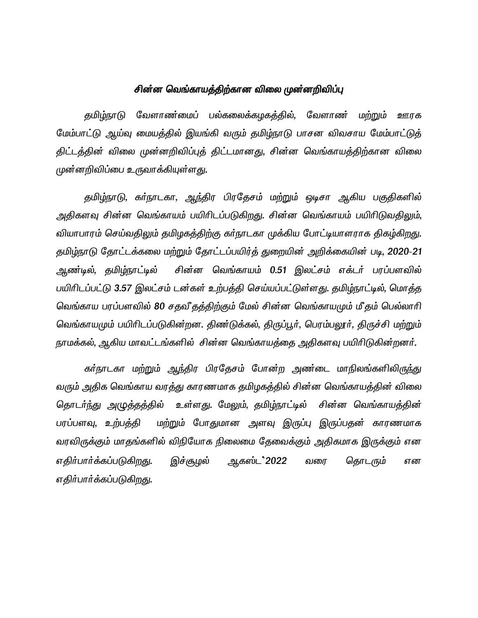# சின்ன வெங்காயத்திற்கான விலை முன்னறிவிப்பு

தமிழ்நாடு வேளாண்மைப் பல்கலைக்கழகத்தில், வேளாண மற்றும் ஊரக மேம்பாட்டு ஆய்வு மையத்தில் இயங்கி வரும் தமிழ்நாடு பாசன விவசாய மேம்பாட்டுத் திட்டத்தின் விலை முன்னறிவிப்புத் திட்டமானது, சின்ன வெங்காயத்திற்கான விலை முன்னறிவிப்பை உருவாக்கியுள்ள<u>த</u>ு.

தமிழ்நாடு, கர்நாடகா, ஆந்திர பிரதேசம் மற்றும் ஒடிசா ஆகிய பகுதிகளில் அதிகளவு சின்ன வெங்காயம் பயிரிடப்படுகிறது. சின்ன வெங்காயம் பயிரிடுவதிலும், வியாபாரம் செய்வதிலும் தமிழகத்திற்கு கர்நாடகா முக்கிய போட்டியாளராக திகழ்கிறது. தமிழ்நாடு தோட்டக்கலை மற்றும் தோட்டப்பயிர்த் துறையின் அறிக்கையின் படி, 2020-21 ஆண்டில், தமிழ்நாட்டில் சின்ன வெங்காயம் 0.51 இலட்சம் எக்டர் பரப்பளவில் பயிரிடப்பட்டு 3.57 இலட்சம் டன்கள் உற்பத்தி செய்யப்பட்டுள்ளது. தமிழ்நாட்டில், மொத்த வெங்காய பரப்பளவில் 80 சதவீதத்திற்கும் மேல் சின்ன வெங்காயமும் மீதம் பெல்லாரி வெங்காயமும் பயிரிடப்படுகின்றன. திண டுக்கல், திருப்பூர், பெரம்பலூர், திருச்சி மற்றும் நாமக்கல், ஆகிய மாவட்டங்களில் சின்ன வெங்காயத்தை அதிகளவு பயிரிடுகின்றனர்.

கர்நாடகா மற்றும் ஆந்திர பிரதேசம் போன்ற அண்டை மாநிலங்களிலிருந்து வரும் அதிக வெங்காய வரத்து காரணமாக தமிழகத்தில் சின்ன வெங்காயத்தின் விலை தொடர்ந்து அழுத்தத்தில் உள்ளது. மேலும், தமிழ்நாட்டில் சின்ன வெங்காயத்தின் பரப்பளவு, உற்பத்தி மற்றும் போதுமான அளவு இருப்பு இருப்பதன் காரணமாக வரவிருக்கும் மாதங்களில் விநியோக நிலைமை தேவைக்கும் அதிகமாக இருக்கும் என எதிர்பார்க்கப்படுகிறது. இச்சூழல் ஆகஸ்ட**்2022** வரை தொடரும் என எதிர்பார்க்கப்படுகி<u>றத</u>ு.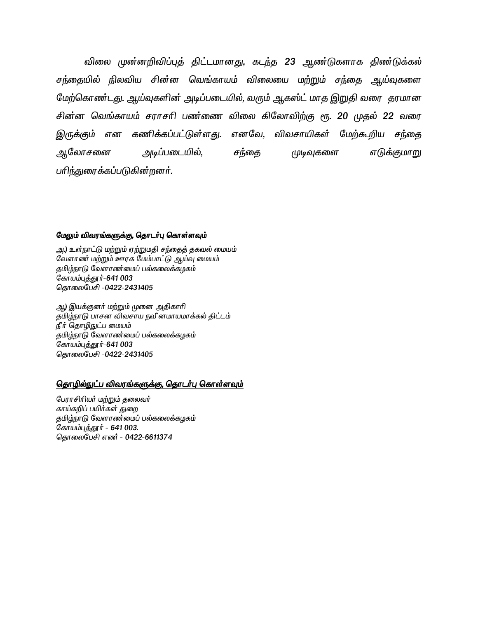விலை முன்னறிவிப்புத் திட்டமானது, கடந்த 23 ஆண்டுகளாக திண்டுக்கல் சந்தையில் நிலவிய சின்ன வெங்காயம் விலையை மற்றும் சந்தை ஆய்வுகளை மேற்கொண்டது. ஆய்வுகளின் அடிப்படையில், வரும் ஆகஸ்ட் மாத இறுதி வரை தரமான சின்ன வெங்காயம் சராசரி பண்ணை விலை கிலோவிற்கு ரூ. 20 முதல் 22 வரை கணிக்கப்பட்டுள்ள<u>த</u>ு. எனவே, விவசாயிகள் மேற்கூறிய சந்தை இருக்கும் என அலோசனை அடிப்படையில், எடுக்குமாறு சந்தை முடிவுகளை பரிந்துரைக்கப்படுகின்றனர்.

#### மேலும் விவரங்களுக்கு, தொடர்பு கொள்ளவும்

அ.) உள்நாட்டு மற்றும் ஏற்றுமதி சந்தைத் தகவல் மையம் வேளாண் மற்றும் ஊரக மேம்பாட்டு ஆய்வு மையம் தமிழ்நாடு வேளாண்மைப் பல்கலைக்கழகம் கோயம்புத்தூர்-641 003 தொலைபேசி -0422-2431405

ஆ) இயக்குனர் மற்றும் முனை அதிகாரி தமிழ்நாடு பாசன விவசாய நவீனமாயமாக்கல் திட்டம் நீர் தொழிநுட்ப மையம் .<br>தமிழ்நாடு வேளாண்மைப் பல்கலைக்கழகம் கோயம்புத்தூர்-641 003 தொலைபேசி -0422-2431405

## தொழில்நுட்ப விவரங்களுக்கு, தொடர்பு கொள்ளவும்

பேராசிரியர் மற்றும் தலைவர் காய்கறிப் பயிர்கள் துறை தமிழ்நாடு வேளாண்மைப் பல்கலைக்கழகம் கோயம்புத்தூர் - 641 003. தொலைபேசி எண் - 0422-6611374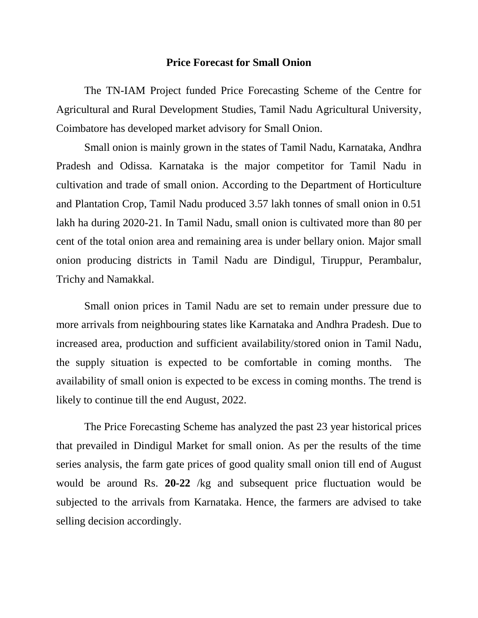### **Price Forecast for Small Onion**

The TN-IAM Project funded Price Forecasting Scheme of the Centre for Agricultural and Rural Development Studies, Tamil Nadu Agricultural University, Coimbatore has developed market advisory for Small Onion.

Small onion is mainly grown in the states of Tamil Nadu, Karnataka, Andhra Pradesh and Odissa. Karnataka is the major competitor for Tamil Nadu in cultivation and trade of small onion. According to the Department of Horticulture and Plantation Crop, Tamil Nadu produced 3.57 lakh tonnes of small onion in 0.51 lakh ha during 2020-21. In Tamil Nadu, small onion is cultivated more than 80 per cent of the total onion area and remaining area is under bellary onion. Major small onion producing districts in Tamil Nadu are Dindigul, Tiruppur, Perambalur, Trichy and Namakkal.

Small onion prices in Tamil Nadu are set to remain under pressure due to more arrivals from neighbouring states like Karnataka and Andhra Pradesh. Due to increased area, production and sufficient availability/stored onion in Tamil Nadu, the supply situation is expected to be comfortable in coming months. The availability of small onion is expected to be excess in coming months. The trend is likely to continue till the end August, 2022.

The Price Forecasting Scheme has analyzed the past 23 year historical prices that prevailed in Dindigul Market for small onion. As per the results of the time series analysis, the farm gate prices of good quality small onion till end of August would be around Rs. **20-22** /kg and subsequent price fluctuation would be subjected to the arrivals from Karnataka. Hence, the farmers are advised to take selling decision accordingly.